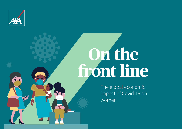

# **On the front line**

The global economic impact of Covid-19 on women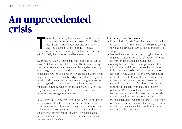## **An unprecedented crisis**

The world is currently facing its worst public health<br>
crisis for more than a hundred years. Covid-19 isn't<br>
just a health crisis, however. It's also an economic<br>
one. The last major economic crisis – in 2008 –<br>
affected w he world is currently facing its worst public health crisis for more than a hundred years. Covid-19 isn't just a health crisis, however. It's also an economic one. The last major economic crisis – in 2008 – with Covid-19, the outcome could be even worse.

In July and August, AXA teamed up with research firm Ipsos to survey 8,000 women from different social backgrounds in eight countries – both mature and emerging: France, Germany, Italy, Mexico, Nigeria, Spain, Thailand and the UK<sup>1</sup>. We wanted to understand how this economic crisis was affecting women, not only their incomes, job security and prospects for employment, but also their "mental load" – the stress and fatigue related to organizing the home and caring for their families. We also wanted to know how women felt about the future – what risks they see, as countries emerge from the crisis, and how well protected they feel against these risks.

Results from our survey show that Covid-19 has left millions of women worse-off, with less financial security than before, more dependent on others, and struggling to combine work and home life. The risk now is that the pandemic will reverse years of progress with gender equality – if we don't act to provide new financial opportunities for women, and break down economic barriers.

#### **Key findings from our survey**

- Economically, Covid-19 has hit women particularly hard. Nearly half - 47% - have had to dip into savings to make ends meet, or turn to friends and family for support.
- Women have spent more time caring for others that has increased stress and left women less time for work and professional development.
- Among the hardest hit are younger women, those with children and those in developing countries with little or no access to benefits or financial support.
- Not surprisingly, women feel more vulnerable as a result of Covid-19; 50% say they feel more exposed to financial risk. Most women say they're not covered for basic risks, if faced with another crisis.
- Despite the setbacks, women are still largely optimistic. Most believe their prospects – and their family's prospects – will improve over the next six months, or at least not deteriorate further.
- Women increasingly want to take matters into their own hands - our survey shows that nearly one in five would consider creating their own business as a response to the pandemic.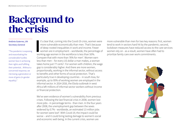## **Background to the crisis**

#### António Guterres, UN Secretary General

"The pandemic is exposing and exacerbating the considerable hurdles women face in achieving their rights and fulfilling their potential... Without a concerned response, we risk losing a generation or more of gains (in gender equality)."

**I** t's clear that, coming into the Covid-19 crisis, women<br>more vulnerable economically than men. That's becord deep-rooted inequalities in work and income. Fey<br>women are in employment – worldwide, the perceno<br>working-age t's clear that, coming into the Covid-19 crisis, women were more vulnerable economically than men. That's because of deep-rooted inequalities in work and income. Fewer women are in employment – worldwide, the percentage of Compare that with more than 76% for men<sup>2</sup>. Women earn less than men – for every US dollar a man makes, a woman takes home just 77 cents<sup>3</sup>. For women with children, the wage gap is considerably higher. And there are more women, proportionally, working in the informal sector, without access to benefits and other forms of social protection. That's particularly true in developing countries – in south Asia, for example, up to 95% of working women are employed in the informal sector. In 2014-2016, the Ebola outbreak in west Africa left millions of informal-sector workers without income or financial protection.

We've seen evidence of women's vulnerability from previous crises. Following the last financial crisis in 2008, women lost more jobs - in percentage terms - than men. In the four years after 2008, the unemployment gap between the sexes widened by 0.7% - worldwide, an estimated 13 million jobs for women were lost<sup>4</sup>. With Covid-19, the impact could be worse – and it could bring lasting damage to women's social and economic well-being. In the current crisis, women are

more vulnerable than men for two key reasons: first, women tend to work in sectors hard hit by the pandemic; second, lockdown measures have reduced access to the care services women rely on - as a result, women have often had to prioritize family care over work commitments.

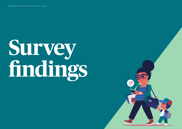# **Survey findings**

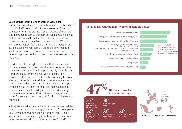#### **Covid-19 has left millions of women worse-off**

Our survey shows that, economically, women have been hard hit by Covid-19. Nearly half of those surveyed – 47% – admitted they had to dip into savings because of the crisis. One in five had to turn to their families for financial help. And 20% of women said they'd had to make sacrifices when buying food – that figure rises to an astonishing 55% for women with at least four children. Among the worst hit are self-employed women; in many cases, these women run small businesses closed down by the pandemic. Six in ten self-employed women had to draw on savings to cope during the crisis.

Covid-19 has also brought job losses. Thirteen percent of women surveyed said they'd lost their jobs because of the pandemic, either temporarily or permanently. That's because – proportionally – more women work in sectors like accommodation and retail that have been among the worst affected by the crisis<sup>5</sup>. In the informal sector - where nearly two in three workers are women<sup>6</sup> – employees lack proper protection, and are often the first to be made redundant during a crisis. The job-loss figure rises to 21% for young women – those between 18 and 29 years of age; it's also higher for women with children, and for those in developing economies.

In the jobs market, women suffer from ingrained inequalities that put them at a disadvantage. Internet use, for example, is 11% lower among women than it is among men $<sup>7</sup>$  – that's</sup> significant at a time when digital skills are at a premium as more businesses switch to online because of Covid-19.

#### **Covid-19 has reduced many women's spending power**



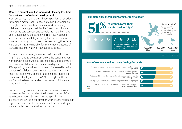#### **Women's mental load has increased – leaving less time for work and professional development**

From our survey, it's also clear that the pandemic has added to women's mental load. Because of Covid-19, women are having to devote more time to housework, arranging childcare, or managing their families' health and finances. Many of the care services and schools they relied on have been closed during the pandemic. The result has been increased stress and fatigue. Nearly half the women we surveyed had to go out to care for others during the crisis - or were isolated from vulnerable family members because of travel restrictions, which further added to stress.

Of the women surveyed, 51% rated their mental load as "high" - that's up 10 points from before the pandemic. For women with children, the rate rose to 58%, up from 50%. For those without children, the increase was higher - from 35% to 46% - possibly due to financial stress or increased isolation because of lockdown restrictions. Up to 40% of women reported feeling "very isolated" and "helpless" during the pandemic - that figures rises to 57% for single mothers, who've had to bear the burden of increased childcare and housework alone.

Not surprisingly, women's mental load increased most in those countries that have had the highest number of Covid-19 infections, particularly Mexico and Spain<sup>8</sup>. Where infections are low, so is the effect on women's mental load. In Nigeria, we saw almost no increase at all; in Thailand, figures were actually lower than before the pandemic.

#### **Pandemic has increased women's "mental load"**



#### **48% of women acted as carers during the crisis**

Feeling very isolated yourself, without the possibility of being helped **40 60 60 60** Going out to help your neighbors during the crisis because no<br>
Going out to help your neighbors during the crisis because no nice or the chart above states of the chart above security one else could support them **39 61 61 61 61 61** Going out to support the vulnerable people in your life who needed your help Having vulnerable people in your life who have been isolated Not being able to travel to support the vulnerable people in your life No

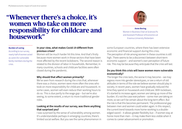### **"Whenever there's a choice, it's women who take on more responsibility for childcare and housework"**



**Anne Boring** Women in Business Chair at Sciences Po and Assistant Professor of Economics at Erasmus University Rotterdam

#### **Burden of caring**

According to our survey, nearly half of women acted as carers for vulnerable family members during the crisis.

#### **In your view, what makes Covid-19 different from previous crises?**

Women will be much harder hit this time. And that's firstly because more women work in those sectors that have been most affected by the recent lockdowns. The second reason is related to the division of labor in households. Remember, In many countries, schools and childcare facilities were often closed during the pandemic.

#### **Why should that affect women primarily?**

We've seen from research during the crisis that, whenever there was a choice, women were more often the ones who took on more responsibility for childcare and housework. In some cases, women will even reduce their working hours to do so. This is due partly to the wage gap – but we're also seeing, to some extent, a return to more traditional gender roles.

#### **Looking at the results of our survey, was there anything that surprised you?**

I was surprised by the sense of vulnerability among women. It's understandable perhaps in emerging countries; there's limited social welfare. But you see the same phenomenon in some European countries, where there has been extensive economic and financial support during this crisis. The perception of risk among women in these countries is still high. There seems to be a disconnect between short-term economic support – and women's own perception of future risk. This may be because they anticipate that the crisis will last.

#### **Do you think this crisis will leave women more vulnerable economically?**

The longer the crisis lasts, the worse it may become – we may regress more into gender stereotypes, or see a return of old attitudes in terms of the role we believe women should play in society. In recent years, women have gradually reduced the time they spend on housework and childcare. With lockdown, it's started to increase again; women are taking up more of the burden. It's not the case everywhere – some men are taking on more, so we can't be certain about the long-term effect. But the risk is that this becomes permanent. The professional gap between men and women could widen again. In this respect, the current trend towards more home-working is a doubleedged sword – it allows greater flexibility but – if women stay at home more than men – it may make them less visible when it comes to career advancement or promotion.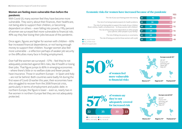#### **Women are feeling more vulnerable than before the pandemic**

With Covid-19, many women feel they have become more vulnerable. They worry about their finances, their healthcare, not being able to support their children, or becoming dependent on others – even falling into poverty. Fifty percent of women we surveyed feel more vulnerable to financial risk; 49% say they fear losing their jobs because of the pandemic.

Once again, figures are higher for women with children – 60% fear increased financial dependence, or not having enough money to support their children. Younger women also feel more vulnerable – a reflection perhaps of weaker job security or the difficulties many face in finding employment.

Over half the women we surveyed – 57% – feel they're not adequately protected against life's risks, like ill health or losing their jobs. That figure jumps to 80% in emerging economies – where there's little or no welfare state and fewer people have insurance. Those in southern Europe – in Spain and Italy – are not far behind. Both countries were badly hit during the first wave of Covid-19 earlier this year; their economies have also struggled to recover from the 2008 financial crisis, particularly in terms of employment and public debt. In northern Europe, the figure is lower – even so, nearly two in five women in northern Europe feel they are not adequately protected.

#### **Economic risks for women have increased because of the pandemic**



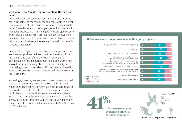#### **Most women are "mildly" optimistic about the next six months**

Despite the pandemic, women remain optimistic. Over the next six months, as economies reopen, most women expect their prospects either to improve – or, at worst, to remain the same. Forty-six percent, for example, see an improvement in their job prospects. It's a similar figure for health, job security, and financial dependence. Forty-four percent believe their "stress and tiredness levels" will come down. However, nearly half of women don't expect to see any change in how evenly housework is shared.

Delving into the figures, it's women in emerging countries who feel the most positive. In these countries, there's a culture of resilience – and a belief that there is still potential for significant growth and development. In Europe, women are less optimistic, particularly about future job security and purchasing power. Nonetheless, 21% of women surveyed in Europe believe their economic situation will improve over the next six months.

Increasingly, it seems, women want to take matters into their own hands. Our survey shows nearly one in five women would consider creating their own business as a response to the Covid-19 crisis. In part, this is borne out of necessity – particularly in countries, like Nigeria, where there are fewer job opportunities in the formal sector. But it's also clear that a growing number of women want to carve out independent career paths. In Europe, results vary from just 6% in Germany to 16% in France.

#### **46% of women see an improvement in their job prospects**





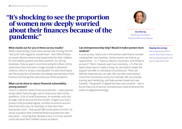## **"It's shocking to see the proportion of women now deeply worried about their finances because of the pandemic"**



#### **Inez Murray** Chief Executive Officer, Financial Alliance for Women

#### **What stands out for you in these survey results?**

What's astonishing is how many women are moving into the "red zone" with regard to mental load – over 50% of those surveyed. Women tend to feel responsible for their children, for their elderly parents and their partners. So, during lockdown, they've spent more time caring for others. At the same time, there has been a huge increase in domestic violence, which is simply unacceptable. It's also shocking to see the proportion of women now deeply worried about their finances and losing their jobs because of the pandemic.

#### **What can be done to reduce financial vulnerability among women?**

There's a need for better financial protection – many women simply didn't have enough cash in reserve to ride out the pandemic. A lot of small businesses, for example, only had enough cash to survive the first month. Imagine you had a product that provided regular, monthly income to women who'd lost their jobs, for example, or had seen their businesses close – that would offer some peace of mind. So would a product that combined financial protection with education – ensuring that, despite a loss in income, women could still send their children school as before.

#### **Can entrepreneurship help? Would it make women more resilient?**

In your survey, nearly one in five women said they'd consider creating their own business. Some women see that as an opportunity – i.e. "I have an idea for a business, and I'd like to pursue it". Most, however, see it as a necessity – it's the only option they have to make a living. So, we need to adapt the support we offer to individual circumstances. There are definite measures we can take. We can help more women move their businesses online, for example. We can provide training and mentoring, and help women break into new markets. The growth in digital has been very positive – we've found that a lot of women entrepreneurs have embraced the switch to digital technology.

#### **Dipping into savings**

Our survey shows 47% of women have had to draw on their savings during the crisis just to make ends meet.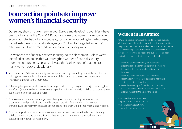## **Four action points to improve women's financial security**

Our survey shows that women – in both Europe and developing countries – have been badly affected by Covid-19. But it's also clear that women have incredible economic potential. Advancing equality for women – according to the McKinsey Global Institute - would add a staggering \$12 trillion to the global economy<sup>9</sup>. In other words – if women's conditions improve, everybody wins.

So, what can the financial services industry do to help women? Below, we've identified action points that will strengthen women's financial security, promote entrepreneurship, and alleviate the "caring burden" that holds so many women back professionally.

- Increase women's financial security and independence by promoting financial education and **1.** helping more women build long-term savings of their own – so they're not dependent financially on other family members.
- Offer targeted products for example, savings products for younger women just entering the **2.** workforce (when they have more savings capacity), or for women with children to protect them against the risk of job loss or divorce.
- **3.** Promote entrepreneurship among women through accelerated training in areas such as e-commerce, and provide financial and business protection for up-and-coming women entrepreneurs to improve their access to finance and help them expand into international markets.
- Provide support services to reduce women's "mental load" and ease the burden of caring for **4.**children, or elderly and sick relatives, so that more women remain in the workforce and concentrate on career development.

### **Women in Insurance**

At AXA, we believe women are the key to progress; they're a vital force around the world for growth and development. Over the past few years, our dedicated Women in Insurance initiative has been working to ensure women have equal access to insurance for their health, wealth and businesses – and can begin at least to realize their economic potential:

- We've developed mentoring and accelerator programs to help women entrepreneurs overcome the barriers they face when launching a new business.
- We've dedicated more than EUR 1 million to research to improve women's access to healthcare – critical at a time of pandemic.
- We've developed specific products and services related to women's needs in areas like cancer care, pregnancy, care for the elderly and travel.

For more information about AXA, our products and services and our Women In Insurance initiative, please visit us at www.axa.com.